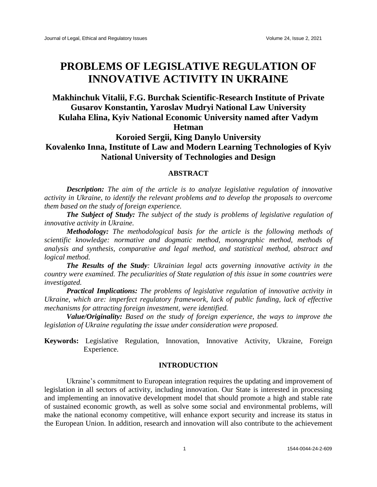# **PROBLEMS OF LEGISLATIVE REGULATION OF INNOVATIVE ACTIVITY IN UKRAINE**

## **Makhinchuk Vitalii, F.G. Burchak Scientific-Research Institute of Private Gusarov Konstantin, Yaroslav Mudryi National Law University Kulaha Elina, Kyiv National Economic University named after Vadym Hetman**

### **Koroied Sergii, King Danylо University Kovalenko Inna, Institute of Law and Modern Learning Technologies of Kyiv National University of Technologies and Design**

### **ABSTRACT**

*Description: The aim of the article is to analyze legislative regulation of innovative activity in Ukraine, to identify the relevant problems and to develop the proposals to overcome them based on the study of foreign experience.*

*The Subject of Study: The subject of the study is problems of legislative regulation of innovative activity in Ukraine.* 

*Methodology: The methodological basis for the article is the following methods of scientific knowledge: normative and dogmatic method, monographic method, methods of analysis and synthesis, comparative and legal method, and statistical method, abstract and logical method.*

*The Results of the Study: Ukrainian legal acts governing innovative activity in the country were examined. The peculiarities of State regulation of this issue in some countries were investigated.* 

*Practical Implications: The problems of legislative regulation of innovative activity in Ukraine, which are: imperfect regulatory framework, lack of public funding, lack of effective mechanisms for attracting foreign investment, were identified.* 

*Value/Originality: Based on the study of foreign experience, the ways to improve the legislation of Ukraine regulating the issue under consideration were proposed.*

**Keywords:** Legislative Regulation, Innovation, Innovative Activity, Ukraine, Foreign Experience.

#### **INTRODUCTION**

Ukraine's commitment to European integration requires the updating and improvement of legislation in all sectors of activity, including innovation. Our State is interested in processing and implementing an innovative development model that should promote a high and stable rate of sustained economic growth, as well as solve some social and environmental problems, will make the national economy competitive, will enhance export security and increase its status in the European Union. In addition, research and innovation will also contribute to the achievement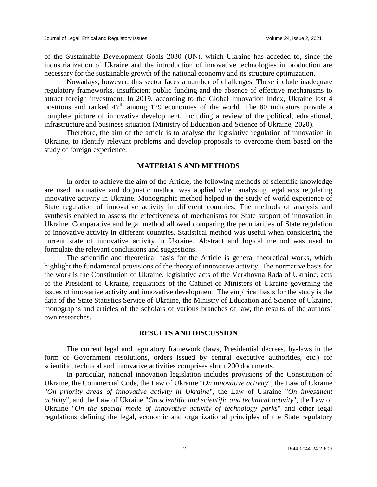of the Sustainable Development Goals 2030 (UN), which Ukraine has acceded to, since the industrialization of Ukraine and the introduction of innovative technologies in production are necessary for the sustainable growth of the national economy and its structure optimization.

Nowadays, however, this sector faces a number of challenges. These include inadequate regulatory frameworks, insufficient public funding and the absence of effective mechanisms to attract foreign investment. In 2019, according to the Global Innovation Index, Ukraine lost 4 positions and ranked 47<sup>th</sup> among 129 economies of the world. The 80 indicators provide a complete picture of innovative development, including a review of the political, educational, infrastructure and business situation (Ministry of Education and Science of Ukraine, 2020).

Therefore, the aim of the article is to analyse the legislative regulation of innovation in Ukraine, to identify relevant problems and develop proposals to overcome them based on the study of foreign experience.

#### **MATERIALS AND METHODS**

In order to achieve the aim of the Article, the following methods of scientific knowledge are used: normative and dogmatic method was applied when analysing legal acts regulating innovative activity in Ukraine. Monographic method helped in the study of world experience of State regulation of innovative activity in different countries. The methods of analysis and synthesis enabled to assess the effectiveness of mechanisms for State support of innovation in Ukraine. Comparative and legal method allowed comparing the peculiarities of State regulation of innovative activity in different countries. Statistical method was useful when considering the current state of innovative activity in Ukraine. Abstract and logical method was used to formulate the relevant conclusions and suggestions.

The scientific and theoretical basis for the Article is general theoretical works, which highlight the fundamental provisions of the theory of innovative activity. The normative basis for the work is the Constitution of Ukraine, legislative acts of the Verkhovna Rada of Ukraine, acts of the President of Ukraine, regulations of the Cabinet of Ministers of Ukraine governing the issues of innovative activity and innovative development. The empirical basis for the study is the data of the State Statistics Service of Ukraine, the Ministry of Education and Science of Ukraine, monographs and articles of the scholars of various branches of law, the results of the authors' own researches.

#### **RESULTS AND DISCUSSION**

The current legal and regulatory framework (laws, Presidential decrees, by-laws in the form of Government resolutions, orders issued by central executive authorities, etc.) for scientific, technical and innovative activities comprises about 200 documents.

In particular, national innovation legislation includes provisions of the Constitution of Ukraine, the Commercial Code, the Law of Ukraine "*On innovative activity*", the Law of Ukraine "*On priority areas of innovative activity in Ukraine*", the Law of Ukraine "*On investment activity*", and the Law of Ukraine "*On scientific and scientific and technical activity*", the Law of Ukraine "*On the special mode of innovative activity of technology parks*" and other legal regulations defining the legal, economic and organizational principles of the State regulatory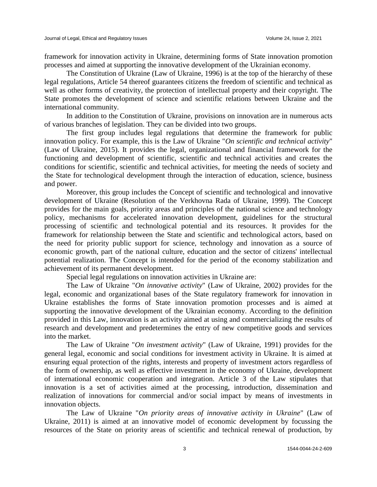framework for innovation activity in Ukraine, determining forms of State innovation promotion processes and aimed at supporting the innovative development of the Ukrainian economy.

The Constitution of Ukraine (Law of Ukraine, 1996) is at the top of the hierarchy of these legal regulations, Article 54 thereof guarantees citizens the freedom of scientific and technical as well as other forms of creativity, the protection of intellectual property and their copyright. The State promotes the development of science and scientific relations between Ukraine and the international community.

In addition to the Constitution of Ukraine, provisions on innovation are in numerous acts of various branches of legislation. They can be divided into two groups.

The first group includes legal regulations that determine the framework for public innovation policy. For example, this is the Law of Ukraine "*On scientific and technical activity*" (Law of Ukraine, 2015). It provides the legal, organizational and financial framework for the functioning and development of scientific, scientific and technical activities and creates the conditions for scientific, scientific and technical activities, for meeting the needs of society and the State for technological development through the interaction of education, science, business and power.

Moreover, this group includes the Concept of scientific and technological and innovative development of Ukraine (Resolution of the Verkhovna Rada of Ukraine, 1999). The Concept provides for the main goals, priority areas and principles of the national science and technology policy, mechanisms for accelerated innovation development, guidelines for the structural processing of scientific and technological potential and its resources. It provides for the framework for relationship between the State and scientific and technological actors, based on the need for priority public support for science, technology and innovation as a source of economic growth, part of the national culture, education and the sector of citizens' intellectual potential realization. The Concept is intended for the period of the economy stabilization and achievement of its permanent development.

Special legal regulations on innovation activities in Ukraine are:

The Law of Ukraine "*On innovative activity*" (Law of Ukraine, 2002) provides for the legal, economic and organizational bases of the State regulatory framework for innovation in Ukraine establishes the forms of State innovation promotion processes and is aimed at supporting the innovative development of the Ukrainian economy. According to the definition provided in this Law, innovation is an activity aimed at using and commercializing the results of research and development and predetermines the entry of new competitive goods and services into the market.

The Law of Ukraine "*On investment activity*" (Law of Ukraine, 1991) provides for the general legal, economic and social conditions for investment activity in Ukraine. It is aimed at ensuring equal protection of the rights, interests and property of investment actors regardless of the form of ownership, as well as effective investment in the economy of Ukraine, development of international economic cooperation and integration. Article 3 of the Law stipulates that innovation is a set of activities aimed at the processing, introduction, dissemination and realization of innovations for commercial and/or social impact by means of investments in innovation objects.

The Law of Ukraine "*On priority areas of innovative activity in Ukraine*" (Law of Ukraine, 2011) is aimed at an innovative model of economic development by focussing the resources of the State on priority areas of scientific and technical renewal of production, by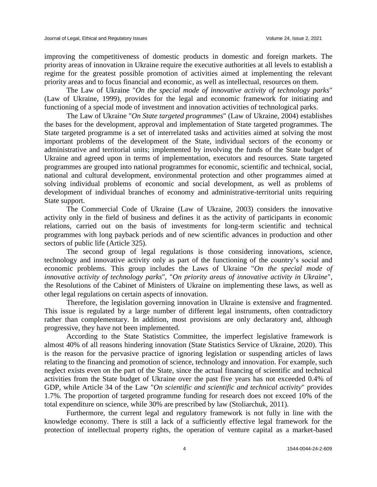improving the competitiveness of domestic products in domestic and foreign markets. The priority areas of innovation in Ukraine require the executive authorities at all levels to establish a regime for the greatest possible promotion of activities aimed at implementing the relevant priority areas and to focus financial and economic, as well as intellectual, resources on them.

The Law of Ukraine "*On the special mode of innovative activity of technology parks*" (Law of Ukraine, 1999), provides for the legal and economic framework for initiating and functioning of a special mode of investment and innovation activities of technological parks.

The Law of Ukraine "*On State targeted programmes*" (Law of Ukraine, 2004) establishes the bases for the development, approval and implementation of State targeted programmes. The State targeted programme is a set of interrelated tasks and activities aimed at solving the most important problems of the development of the State, individual sectors of the economy or administrative and territorial units; implemented by involving the funds of the State budget of Ukraine and agreed upon in terms of implementation, executors and resources. State targeted programmes are grouped into national programmes for economic, scientific and technical, social, national and cultural development, environmental protection and other programmes aimed at solving individual problems of economic and social development, as well as problems of development of individual branches of economy and administrative-territorial units requiring State support.

The Commercial Code of Ukraine (Law of Ukraine, 2003) considers the innovative activity only in the field of business and defines it as the activity of participants in economic relations, carried out on the basis of investments for long-term scientific and technical programmes with long payback periods and of new scientific advances in production and other sectors of public life (Article 325).

The second group of legal regulations is those considering innovations, science, technology and innovative activity only as part of the functioning of the country's social and economic problems. This group includes the Laws of Ukraine "*On the special mode of innovative activity of technology parks*", "*On priority areas of innovative activity in Ukraine*", the Resolutions of the Cabinet of Ministers of Ukraine on implementing these laws, as well as other legal regulations on certain aspects of innovation.

Therefore, the legislation governing innovation in Ukraine is extensive and fragmented. This issue is regulated by a large number of different legal instruments, often contradictory rather than complementary. In addition, most provisions are only declaratory and, although progressive, they have not been implemented.

According to the State Statistics Committee, the imperfect legislative framework is almost 40% of all reasons hindering innovation (State Statistics Service of Ukraine, 2020). This is the reason for the pervasive practice of ignoring legislation or suspending articles of laws relating to the financing and promotion of science, technology and innovation. For example, such neglect exists even on the part of the State, since the actual financing of scientific and technical activities from the State budget of Ukraine over the past five years has not exceeded 0.4% of GDP, while Article 34 of the Law "*On scientific and scientific and technical activity*" provides 1.7%. The proportion of targeted programme funding for research does not exceed 10% of the total expenditure on science, while 30% are prescribed by law (Stoliarchuk, 2011).

Furthermore, the current legal and regulatory framework is not fully in line with the knowledge economy. There is still a lack of a sufficiently effective legal framework for the protection of intellectual property rights, the operation of venture capital as a market-based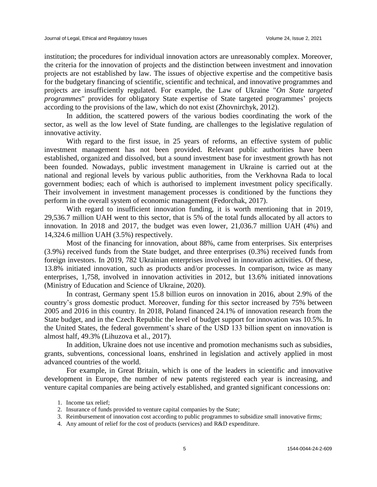institution; the procedures for individual innovation actors are unreasonably complex. Moreover, the criteria for the innovation of projects and the distinction between investment and innovation projects are not established by law. The issues of objective expertise and the competitive basis for the budgetary financing of scientific, scientific and technical, and innovative programmes and projects are insufficiently regulated. For example, the Law of Ukraine "*On State targeted programmes*" provides for obligatory State expertise of State targeted programmes' projects according to the provisions of the law, which do not exist (Zhovnirchyk, 2012).

In addition, the scattered powers of the various bodies coordinating the work of the sector, as well as the low level of State funding, are challenges to the legislative regulation of innovative activity.

With regard to the first issue, in 25 years of reforms, an effective system of public investment management has not been provided. Relevant public authorities have been established, organized and dissolved, but a sound investment base for investment growth has not been founded. Nowadays, public investment management in Ukraine is carried out at the national and regional levels by various public authorities, from the Verkhovna Rada to local government bodies; each of which is authorised to implement investment policy specifically. Their involvement in investment management processes is conditioned by the functions they perform in the overall system of economic management (Fedorchak, 2017).

With regard to insufficient innovation funding, it is worth mentioning that in 2019, 29,536.7 million UAH went to this sector, that is 5% of the total funds allocated by all actors to innovation. In 2018 and 2017, the budget was even lower, 21,036.7 million UAH (4%) and 14,324.6 million UAH (3.5%) respectively.

Most of the financing for innovation, about 88%, came from enterprises. Six enterprises (3.9%) received funds from the State budget, and three enterprises (0.3%) received funds from foreign investors. In 2019, 782 Ukrainian enterprises involved in innovation activities. Of these, 13.8% initiated innovation, such as products and/or processes. In comparison, twice as many enterprises, 1,758, involved in innovation activities in 2012, but 13.6% initiated innovations (Ministry of Education and Science of Ukraine, 2020).

In contrast, Germany spent 15.8 billion euros on innovation in 2016, about 2.9% of the country's gross domestic product. Moreover, funding for this sector increased by 75% between 2005 and 2016 in this country. In 2018, Poland financed 24.1% of innovation research from the State budget, and in the Czech Republic the level of budget support for innovation was 10.5%. In the United States, the federal government's share of the USD 133 billion spent on innovation is almost half, 49.3% (Lihuzova et al., 2017).

In addition, Ukraine does not use incentive and promotion mechanisms such as subsidies, grants, subventions, concessional loans, enshrined in legislation and actively applied in most advanced countries of the world.

For example, in Great Britain, which is one of the leaders in scientific and innovative development in Europe, the number of new patents registered each year is increasing, and venture capital companies are being actively established, and granted significant concessions on:

<sup>1.</sup> Income tax relief;

<sup>2.</sup> Insurance of funds provided to venture capital companies by the State;

<sup>3.</sup> Reimbursement of innovation cost according to public programmes to subsidize small innovative firms;

<sup>4.</sup> Any amount of relief for the cost of products (services) and R&D expenditure.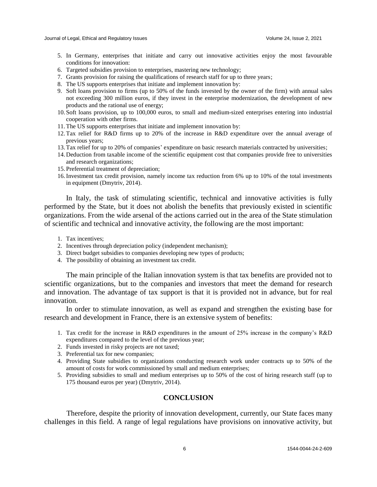- 5. In Germany, enterprises that initiate and carry out innovative activities enjoy the most favourable conditions for innovation:
- 6. Targeted subsidies provision to enterprises, mastering new technology;
- 7. Grants provision for raising the qualifications of research staff for up to three years;
- 8. The US supports enterprises that initiate and implement innovation by:
- 9. Soft loans provision to firms (up to 50% of the funds invested by the owner of the firm) with annual sales not exceeding 300 million euros, if they invest in the enterprise modernization, the development of new products and the rational use of energy;
- 10. Soft loans provision, up to 100,000 euros, to small and medium-sized enterprises entering into industrial cooperation with other firms.
- 11.The US supports enterprises that initiate and implement innovation by:
- 12.Tax relief for R&D firms up to 20% of the increase in R&D expenditure over the annual average of previous years;
- 13.Tax relief for up to 20% of companies' expenditure on basic research materials contracted by universities;
- 14. Deduction from taxable income of the scientific equipment cost that companies provide free to universities and research organizations;
- 15. Preferential treatment of depreciation;
- 16.Investment tax credit provision, namely income tax reduction from 6% up to 10% of the total investments in equipment (Dmytriv, 2014).

In Italy, the task of stimulating scientific, technical and innovative activities is fully performed by the State, but it does not abolish the benefits that previously existed in scientific organizations. From the wide arsenal of the actions carried out in the area of the State stimulation of scientific and technical and innovative activity, the following are the most important:

- 1. Tax incentives;
- 2. Incentives through depreciation policy (independent mechanism);
- 3. Direct budget subsidies to companies developing new types of products;
- 4. The possibility of obtaining an investment tax credit.

The main principle of the Italian innovation system is that tax benefits are provided not to scientific organizations, but to the companies and investors that meet the demand for research and innovation. The advantage of tax support is that it is provided not in advance, but for real innovation.

In order to stimulate innovation, as well as expand and strengthen the existing base for research and development in France, there is an extensive system of benefits:

- 1. Tax credit for the increase in R&D expenditures in the amount of 25% increase in the company's R&D expenditures compared to the level of the previous year;
- 2. Funds invested in risky projects are not taxed;
- 3. Preferential tax for new companies;
- 4. Providing State subsidies to organizations conducting research work under contracts up to 50% of the amount of costs for work commissioned by small and medium enterprises;
- 5. Providing subsidies to small and medium enterprises up to 50% of the cost of hiring research staff (up to 175 thousand euros per year) (Dmytriv, 2014).

### **CONCLUSION**

Therefore, despite the priority of innovation development, currently, our State faces many challenges in this field. A range of legal regulations have provisions on innovative activity, but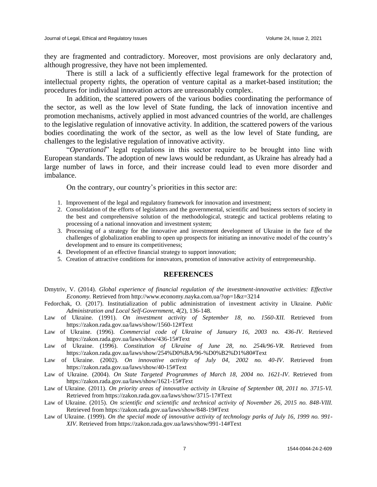they are fragmented and contradictory. Moreover, most provisions are only declaratory and, although progressive, they have not been implemented.

There is still a lack of a sufficiently effective legal framework for the protection of intellectual property rights, the operation of venture capital as a market-based institution; the procedures for individual innovation actors are unreasonably complex.

In addition, the scattered powers of the various bodies coordinating the performance of the sector, as well as the low level of State funding, the lack of innovation incentive and promotion mechanisms, actively applied in most advanced countries of the world, are challenges to the legislative regulation of innovative activity. In addition, the scattered powers of the various bodies coordinating the work of the sector, as well as the low level of State funding, are challenges to the legislative regulation of innovative activity.

"*Operational*" legal regulations in this sector require to be brought into line with European standards. The adoption of new laws would be redundant, as Ukraine has already had a large number of laws in force, and their increase could lead to even more disorder and imbalance.

On the contrary, our country's priorities in this sector are:

- 1. Improvement of the legal and regulatory framework for innovation and investment;
- 2. Consolidation of the efforts of legislators and the governmental, scientific and business sectors of society in the best and comprehensive solution of the methodological, strategic and tactical problems relating to processing of a national innovation and investment system;
- 3. Processing of a strategy for the innovative and investment development of Ukraine in the face of the challenges of globalization enabling to open up prospects for initiating an innovative model of the country's development and to ensure its competitiveness;
- 4. Development of an effective financial strategy to support innovation;
- 5. Creation of attractive conditions for innovators, promotion of innovative activity of entrepreneurship.

#### **REFERENCES**

- Dmytriv, V. (2014). *Global experience of financial regulation of the investment-innovative activities: Effective Economy.* Retrieved from http://www.economy.nayka.com.ua/?op=1&z=3214
- Fedorchak, O. (2017). Institutialization of public administration of investment activity in Ukraine. *Public Administration and Local Self-Government, 4*(2), 136-148.
- Law of Ukraine. (1991). *On investment activity of September 18, no. 1560-XII.* Retrieved from https://zakon.rada.gov.ua/laws/show/1560-12#Text
- Law of Ukraine. (1996). *Commercial code of Ukraine of January 16, 2003 no. 436-IV*. Retrieved https://zakon.rada.gov.ua/laws/show/436-15#Text
- Law of Ukraine. (1996). *Constitution of Ukraine of June 28, no. 254k/96-VR*. Retrieved from https://zakon.rada.gov.ua/laws/show/254%D0%BA/96-%D0%B2%D1%80#Text
- Law of Ukraine. (2002). *On innovative activity of July 04, 2002 no. 40-IV*. Retrieved from https://zakon.rada.gov.ua/laws/show/40-15#Text
- Law of Ukraine. (2004). *On State Targeted Programmes of March 18, 2004 no. 1621-IV*. Retrieved from https://zakon.rada.gov.ua/laws/show/1621-15#Text
- Law of Ukraine. (2011). *On priority areas of innovative activity in Ukraine of September 08, 2011 no. 3715-VI.* Retrieved from https://zakon.rada.gov.ua/laws/show/3715-17#Text
- Law of Ukraine. (2015). *On scientific and scientific and technical activity of November 26, 2015 no. 848-VIII.* Retrieved from https://zakon.rada.gov.ua/laws/show/848-19#Text
- Law of Ukraine. (1999). *On the special mode of innovative activity of technology parks of July 16, 1999 no. 991- XIV*. Retrieved from https://zakon.rada.gov.ua/laws/show/991-14#Text